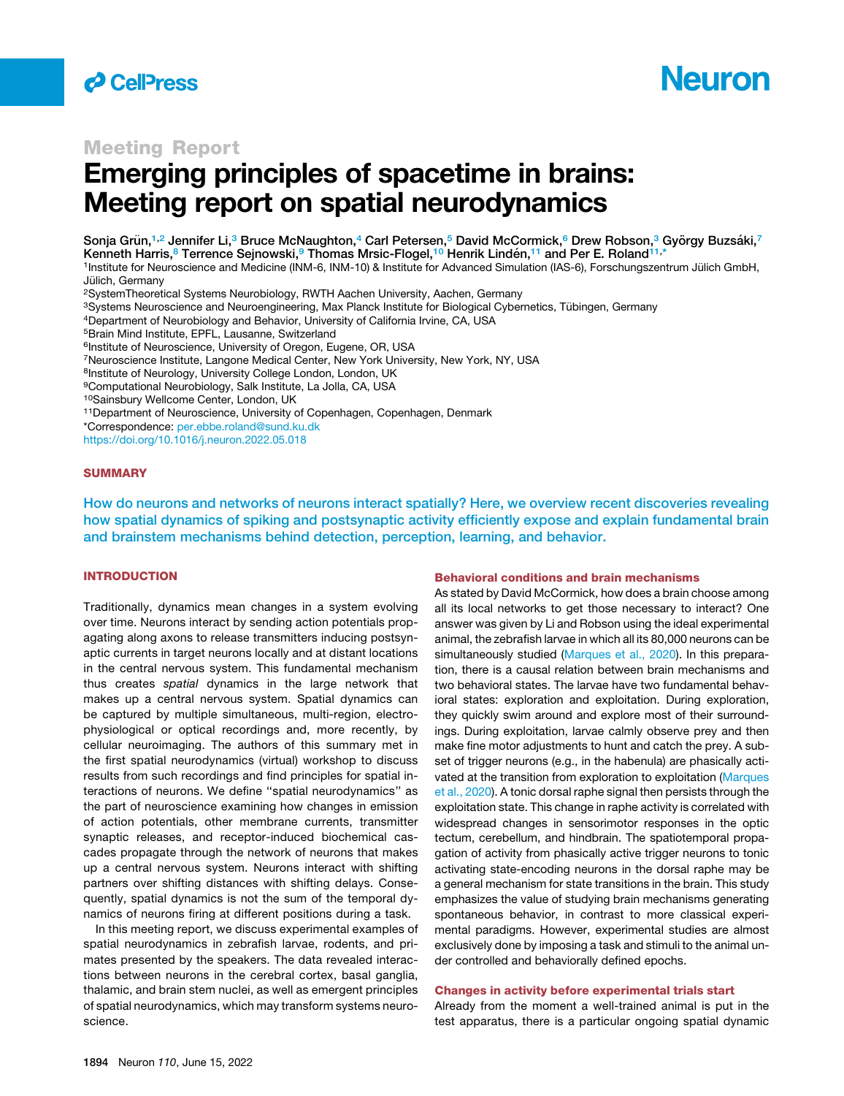

# **Neuron**

# Meeting Report

# Emerging principles of spacetime in brains: Meeting report on spatial neurodynamics

Sonja Grün,<sup>[1](#page-0-0)[,2](#page-0-1)</sup> Jennifer Li,<sup>[3](#page-0-2)</sup> Bruce McNaughton,<sup>[4](#page-0-3)</sup> Carl Petersen,<sup>[5](#page-0-4)</sup> David McCormick,<sup>6</sup> Drew Robson,<sup>3</sup> György Buzsáki,[7](#page-0-6) Kenneth Harris,<sup>[8](#page-0-7)</sup> Terrence Sejnowski,<sup>[9](#page-0-8)</sup> Thomas Mrsic-Flogel,<sup>[10](#page-0-9)</sup> Henrik Lindén,<sup>[11](#page-0-10)</sup> and Per E. Roland<sup>[11,](#page-0-10)∗</sup>

<span id="page-0-0"></span>1Institute for Neuroscience and Medicine (INM-6, INM-10) & Institute for Advanced Simulation (IAS-6), Forschungszentrum Jülich GmbH, Jülich, Germany

<span id="page-0-1"></span>2SystemTheoretical Systems Neurobiology, RWTH Aachen University, Aachen, Germany

<span id="page-0-2"></span>3Systems Neuroscience and Neuroengineering, Max Planck Institute for Biological Cybernetics, Tübingen, Germany

<span id="page-0-3"></span>4Department of Neurobiology and Behavior, University of California Irvine, CA, USA

<span id="page-0-4"></span>5Brain Mind Institute, EPFL, Lausanne, Switzerland

<span id="page-0-5"></span><sup>6</sup>Institute of Neuroscience, University of Oregon, Eugene, OR, USA

<span id="page-0-6"></span>7Neuroscience Institute, Langone Medical Center, New York University, New York, NY, USA

<span id="page-0-7"></span>8Institute of Neurology, University College London, London, UK

<span id="page-0-8"></span>9Computational Neurobiology, Salk Institute, La Jolla, CA, USA

- <span id="page-0-9"></span>10Sainsbury Wellcome Center, London, UK
- <span id="page-0-10"></span><sup>11</sup>Department of Neuroscience, University of Copenhagen, Copenhagen, Denmark

<span id="page-0-11"></span>\*Correspondence: [per.ebbe.roland@sund.ku.dk](mailto:per.ebbe.roland@sund.ku.dk)

<https://doi.org/10.1016/j.neuron.2022.05.018>

### **SUMMARY**

How do neurons and networks of neurons interact spatially? Here, we overview recent discoveries revealing how spatial dynamics of spiking and postsynaptic activity efficiently expose and explain fundamental brain and brainstem mechanisms behind detection, perception, learning, and behavior.

## INTRODUCTION

Traditionally, dynamics mean changes in a system evolving over time. Neurons interact by sending action potentials propagating along axons to release transmitters inducing postsynaptic currents in target neurons locally and at distant locations in the central nervous system. This fundamental mechanism thus creates *spatial* dynamics in the large network that makes up a central nervous system. Spatial dynamics can be captured by multiple simultaneous, multi-region, electrophysiological or optical recordings and, more recently, by cellular neuroimaging. The authors of this summary met in the first spatial neurodynamics (virtual) workshop to discuss results from such recordings and find principles for spatial interactions of neurons. We define ''spatial neurodynamics'' as the part of neuroscience examining how changes in emission of action potentials, other membrane currents, transmitter synaptic releases, and receptor-induced biochemical cascades propagate through the network of neurons that makes up a central nervous system. Neurons interact with shifting partners over shifting distances with shifting delays. Consequently, spatial dynamics is not the sum of the temporal dynamics of neurons firing at different positions during a task.

In this meeting report, we discuss experimental examples of spatial neurodynamics in zebrafish larvae, rodents, and primates presented by the speakers. The data revealed interactions between neurons in the cerebral cortex, basal ganglia, thalamic, and brain stem nuclei, as well as emergent principles of spatial neurodynamics, which may transform systems neuroscience.

#### Behavioral conditions and brain mechanisms

As stated by David McCormick, how does a brain choose among all its local networks to get those necessary to interact? One answer was given by Li and Robson using the ideal experimental animal, the zebrafish larvae in which all its 80,000 neurons can be simultaneously studied [\(Marques et al., 2020](#page-4-0)). In this preparation, there is a causal relation between brain mechanisms and two behavioral states. The larvae have two fundamental behavioral states: exploration and exploitation. During exploration, they quickly swim around and explore most of their surroundings. During exploitation, larvae calmly observe prey and then make fine motor adjustments to hunt and catch the prey. A subset of trigger neurons (e.g., in the habenula) are phasically activated at the transition from exploration to exploitation ([Marques](#page-4-0) [et al., 2020](#page-4-0)). A tonic dorsal raphe signal then persists through the exploitation state. This change in raphe activity is correlated with widespread changes in sensorimotor responses in the optic tectum, cerebellum, and hindbrain. The spatiotemporal propagation of activity from phasically active trigger neurons to tonic activating state-encoding neurons in the dorsal raphe may be a general mechanism for state transitions in the brain. This study emphasizes the value of studying brain mechanisms generating spontaneous behavior, in contrast to more classical experimental paradigms. However, experimental studies are almost exclusively done by imposing a task and stimuli to the animal under controlled and behaviorally defined epochs.

#### Changes in activity before experimental trials start

Already from the moment a well-trained animal is put in the test apparatus, there is a particular ongoing spatial dynamic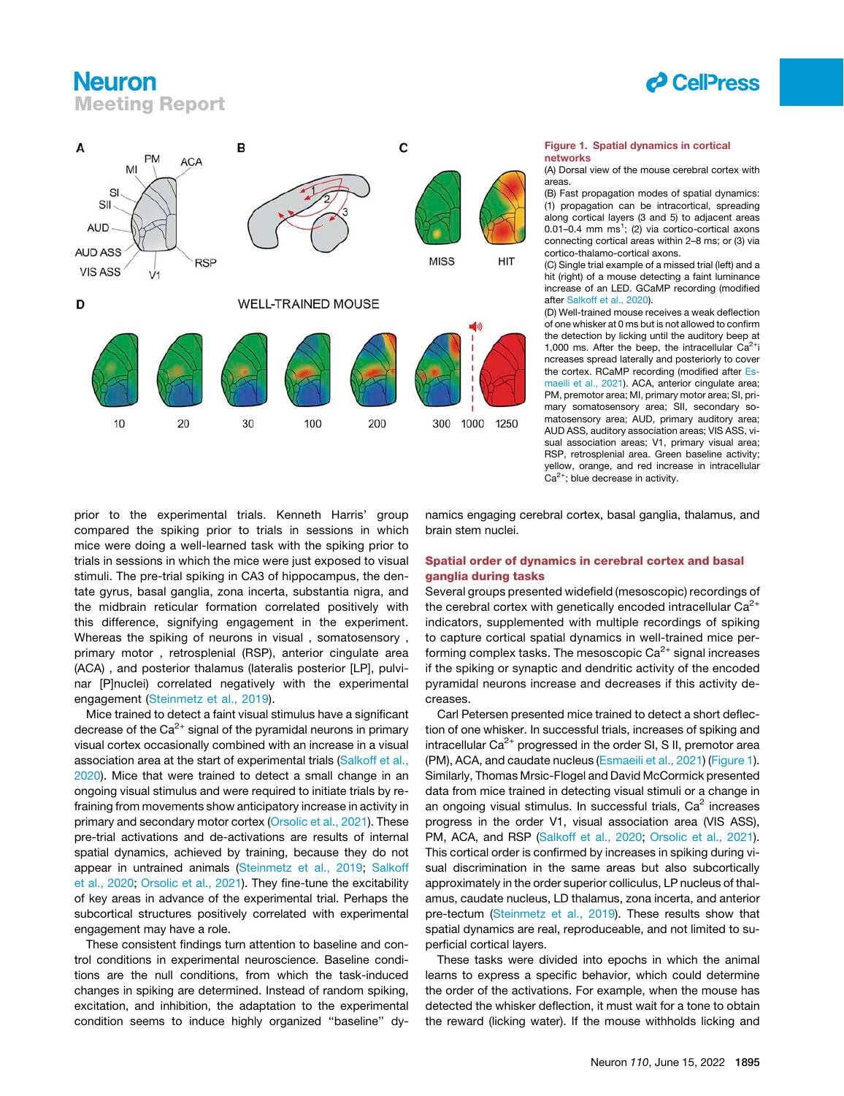# **Neuron** Meeting Report



<span id="page-1-0"></span>

#### Figure 1. Spatial dynamics in cortical networks

(A) Dorsal view of the mouse cerebral cortex with areas.

(B) Fast propagation modes of spatial dynamics: (1) propagation can be intracortical, spreading along cortical layers (3 and 5) to adjacent areas 0.01-0.4 mm  $ms<sup>1</sup>$ ; (2) via cortico-cortical axons connecting cortical areas within 2–8 ms; or (3) via cortico-thalamo-cortical axons.

(C) Single trial example of a missed trial (left) and a hit (right) of a mouse detecting a faint luminance increase of an LED. GCaMP recording (modified after [Salkoff et al., 2020](#page-4-2)).

(D) Well-trained mouse receives a weak deflection of one whisker at 0 ms but is not allowed to confirm the detection by licking until the auditory beep at 1,000 ms. After the beep, the intracellular  $Ca^{2+}i$ ncreases spread laterally and posteriorly to cover the cortex. RCaMP recording (modified after [Es](#page-4-4)[maeili et al., 2021\)](#page-4-4). ACA, anterior cingulate area; PM, premotor area; MI, primary motor area; SI, primary somatosensory area; SII, secondary somatosensory area; AUD, primary auditory area; AUD ASS, auditory association areas; VIS ASS, visual association areas; V1, primary visual area; RSP, retrosplenial area. Green baseline activity; yellow, orange, and red increase in intracellular  $Ca<sup>2+</sup>$ ; blue decrease in activity.

prior to the experimental trials. Kenneth Harris' group compared the spiking prior to trials in sessions in which mice were doing a well-learned task with the spiking prior to trials in sessions in which the mice were just exposed to visual stimuli. The pre-trial spiking in CA3 of hippocampus, the dentate gyrus, basal ganglia, zona incerta, substantia nigra, and the midbrain reticular formation correlated positively with this difference, signifying engagement in the experiment. Whereas the spiking of neurons in visual , somatosensory , primary motor , retrosplenial (RSP), anterior cingulate area (ACA) , and posterior thalamus (lateralis posterior [LP], pulvinar [P]nuclei) correlated negatively with the experimental engagement ([Steinmetz et al., 2019](#page-4-1)).

Mice trained to detect a faint visual stimulus have a significant decrease of the  $Ca^{2+}$  signal of the pyramidal neurons in primary visual cortex occasionally combined with an increase in a visual association area at the start of experimental trials [\(Salkoff et al.,](#page-4-2) [2020\)](#page-4-2). Mice that were trained to detect a small change in an ongoing visual stimulus and were required to initiate trials by refraining from movements show anticipatory increase in activity in primary and secondary motor cortex [\(Orsolic et al., 2021\)](#page-4-3). These pre-trial activations and de-activations are results of internal spatial dynamics, achieved by training, because they do not appear in untrained animals ([Steinmetz et al., 2019](#page-4-1); [Salkoff](#page-4-2) [et al., 2020;](#page-4-2) [Orsolic et al., 2021\)](#page-4-3). They fine-tune the excitability of key areas in advance of the experimental trial. Perhaps the subcortical structures positively correlated with experimental engagement may have a role.

These consistent findings turn attention to baseline and control conditions in experimental neuroscience. Baseline conditions are the null conditions, from which the task-induced changes in spiking are determined. Instead of random spiking, excitation, and inhibition, the adaptation to the experimental condition seems to induce highly organized ''baseline'' dynamics engaging cerebral cortex, basal ganglia, thalamus, and brain stem nuclei.

## Spatial order of dynamics in cerebral cortex and basal ganglia during tasks

Several groups presented widefield (mesoscopic) recordings of the cerebral cortex with genetically encoded intracellular  $Ca^{2+}$ indicators, supplemented with multiple recordings of spiking to capture cortical spatial dynamics in well-trained mice performing complex tasks. The mesoscopic  $Ca^{2+}$  signal increases if the spiking or synaptic and dendritic activity of the encoded pyramidal neurons increase and decreases if this activity decreases.

Carl Petersen presented mice trained to detect a short deflection of one whisker. In successful trials, increases of spiking and intracellular  $Ca^{2+}$  progressed in the order SI, S II, premotor area (PM), ACA, and caudate nucleus ([Esmaeili et al., 2021](#page-4-4)) ([Figure 1\)](#page-1-0). Similarly, Thomas Mrsic-Flogel and David McCormick presented data from mice trained in detecting visual stimuli or a change in an ongoing visual stimulus. In successful trials,  $Ca<sup>2</sup>$  increases progress in the order V1, visual association area (VIS ASS), PM, ACA, and RSP ([Salkoff et al., 2020;](#page-4-2) [Orsolic et al., 2021\)](#page-4-3). This cortical order is confirmed by increases in spiking during visual discrimination in the same areas but also subcortically approximately in the order superior colliculus, LP nucleus of thalamus, caudate nucleus, LD thalamus, zona incerta, and anterior pre-tectum ([Steinmetz et al., 2019\)](#page-4-1). These results show that spatial dynamics are real, reproduceable, and not limited to superficial cortical layers.

These tasks were divided into epochs in which the animal learns to express a specific behavior, which could determine the order of the activations. For example, when the mouse has detected the whisker deflection, it must wait for a tone to obtain the reward (licking water). If the mouse withholds licking and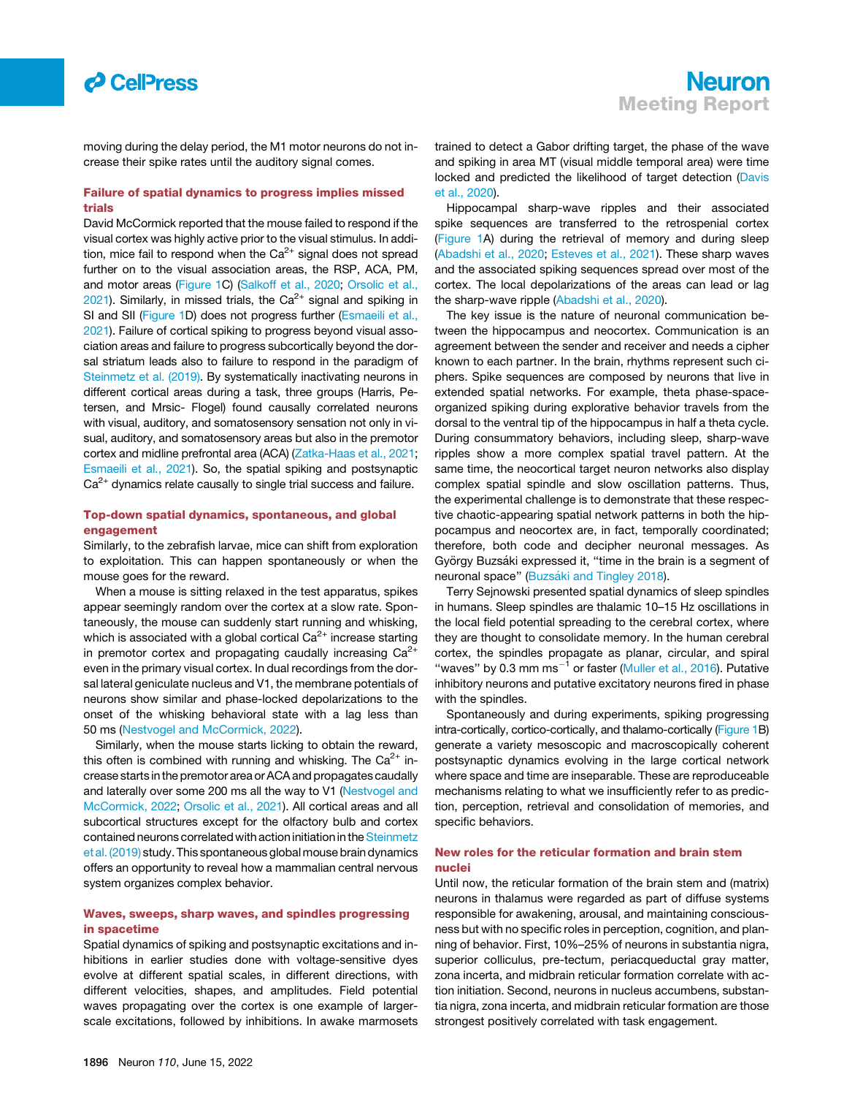

moving during the delay period, the M1 motor neurons do not increase their spike rates until the auditory signal comes.

# Failure of spatial dynamics to progress implies missed trials

David McCormick reported that the mouse failed to respond if the visual cortex was highly active prior to the visual stimulus. In addition, mice fail to respond when the  $Ca^{2+}$  signal does not spread further on to the visual association areas, the RSP, ACA, PM, and motor areas ([Figure 1C](#page-1-0)) [\(Salkoff et al., 2020](#page-4-2); [Orsolic et al.,](#page-4-3)  $2021$ ). Similarly, in missed trials, the Ca<sup>2+</sup> signal and spiking in SI and SII ([Figure 1](#page-1-0)D) does not progress further [\(Esmaeili et al.,](#page-4-4) [2021](#page-4-4)). Failure of cortical spiking to progress beyond visual association areas and failure to progress subcortically beyond the dorsal striatum leads also to failure to respond in the paradigm of [Steinmetz et al. \(2019\).](#page-4-1) By systematically inactivating neurons in different cortical areas during a task, three groups (Harris, Petersen, and Mrsic- Flogel) found causally correlated neurons with visual, auditory, and somatosensory sensation not only in visual, auditory, and somatosensory areas but also in the premotor cortex and midline prefrontal area (ACA) ([Zatka-Haas et al., 2021;](#page-4-5) [Esmaeili et al., 2021](#page-4-4)). So, the spatial spiking and postsynaptic  $Ca<sup>2+</sup>$  dynamics relate causally to single trial success and failure.

### Top-down spatial dynamics, spontaneous, and global engagement

Similarly, to the zebrafish larvae, mice can shift from exploration to exploitation. This can happen spontaneously or when the mouse goes for the reward.

When a mouse is sitting relaxed in the test apparatus, spikes appear seemingly random over the cortex at a slow rate. Spontaneously, the mouse can suddenly start running and whisking, which is associated with a global cortical  $Ca<sup>2+</sup>$  increase starting in premotor cortex and propagating caudally increasing  $Ca^{2+}$ even in the primary visual cortex. In dual recordings from the dorsal lateral geniculate nucleus and V1, the membrane potentials of neurons show similar and phase-locked depolarizations to the onset of the whisking behavioral state with a lag less than 50 ms ([Nestvogel and McCormick, 2022\)](#page-4-6).

Similarly, when the mouse starts licking to obtain the reward, this often is combined with running and whisking. The  $Ca^{2+}$  increase starts in the premotor area or ACA and propagates caudally and laterally over some 200 ms all the way to V1 [\(Nestvogel and](#page-4-6) [McCormick, 2022](#page-4-6); [Orsolic et al., 2021](#page-4-3)). All cortical areas and all subcortical structures except for the olfactory bulb and cortex contained neurons correlated with action initiation in the [Steinmetz](#page-4-1) [et al. \(2019\)](#page-4-1) study. This spontaneous global mouse brain dynamics offers an opportunity to reveal how a mammalian central nervous system organizes complex behavior.

## Waves, sweeps, sharp waves, and spindles progressing in spacetime

Spatial dynamics of spiking and postsynaptic excitations and inhibitions in earlier studies done with voltage-sensitive dyes evolve at different spatial scales, in different directions, with different velocities, shapes, and amplitudes. Field potential waves propagating over the cortex is one example of largerscale excitations, followed by inhibitions. In awake marmosets trained to detect a Gabor drifting target, the phase of the wave and spiking in area MT (visual middle temporal area) were time locked and predicted the likelihood of target detection ([Davis](#page-3-0) [et al., 2020\)](#page-3-0).

Hippocampal sharp-wave ripples and their associated spike sequences are transferred to the retrospenial cortex [\(Figure 1A](#page-1-0)) during the retrieval of memory and during sleep [\(Abadshi et al., 2020](#page-3-1); [Esteves et al., 2021\)](#page-4-7). These sharp waves and the associated spiking sequences spread over most of the cortex. The local depolarizations of the areas can lead or lag the sharp-wave ripple ([Abadshi et al., 2020\)](#page-3-1).

The key issue is the nature of neuronal communication between the hippocampus and neocortex. Communication is an agreement between the sender and receiver and needs a cipher known to each partner. In the brain, rhythms represent such ciphers. Spike sequences are composed by neurons that live in extended spatial networks. For example, theta phase-spaceorganized spiking during explorative behavior travels from the dorsal to the ventral tip of the hippocampus in half a theta cycle. During consummatory behaviors, including sleep, sharp-wave ripples show a more complex spatial travel pattern. At the same time, the neocortical target neuron networks also display complex spatial spindle and slow oscillation patterns. Thus, the experimental challenge is to demonstrate that these respective chaotic-appearing spatial network patterns in both the hippocampus and neocortex are, in fact, temporally coordinated; therefore, both code and decipher neuronal messages. As György Buzsáki expressed it, "time in the brain is a segment of neuronal space" (Buzsá[ki and Tingley 2018](#page-3-2)).

Terry Sejnowski presented spatial dynamics of sleep spindles in humans. Sleep spindles are thalamic 10–15 Hz oscillations in the local field potential spreading to the cerebral cortex, where they are thought to consolidate memory. In the human cerebral cortex, the spindles propagate as planar, circular, and spiral "waves" by 0.3 mm ms<sup>-1</sup> or faster [\(Muller et al., 2016](#page-4-8)). Putative inhibitory neurons and putative excitatory neurons fired in phase with the spindles.

Spontaneously and during experiments, spiking progressing intra-cortically, cortico-cortically, and thalamo-cortically [\(Figure 1](#page-1-0)B) generate a variety mesoscopic and macroscopically coherent postsynaptic dynamics evolving in the large cortical network where space and time are inseparable. These are reproduceable mechanisms relating to what we insufficiently refer to as prediction, perception, retrieval and consolidation of memories, and specific behaviors.

# New roles for the reticular formation and brain stem nuclei

Until now, the reticular formation of the brain stem and (matrix) neurons in thalamus were regarded as part of diffuse systems responsible for awakening, arousal, and maintaining consciousness but with no specific roles in perception, cognition, and planning of behavior. First, 10%–25% of neurons in substantia nigra, superior colliculus, pre-tectum, periacqueductal gray matter, zona incerta, and midbrain reticular formation correlate with action initiation. Second, neurons in nucleus accumbens, substantia nigra, zona incerta, and midbrain reticular formation are those strongest positively correlated with task engagement.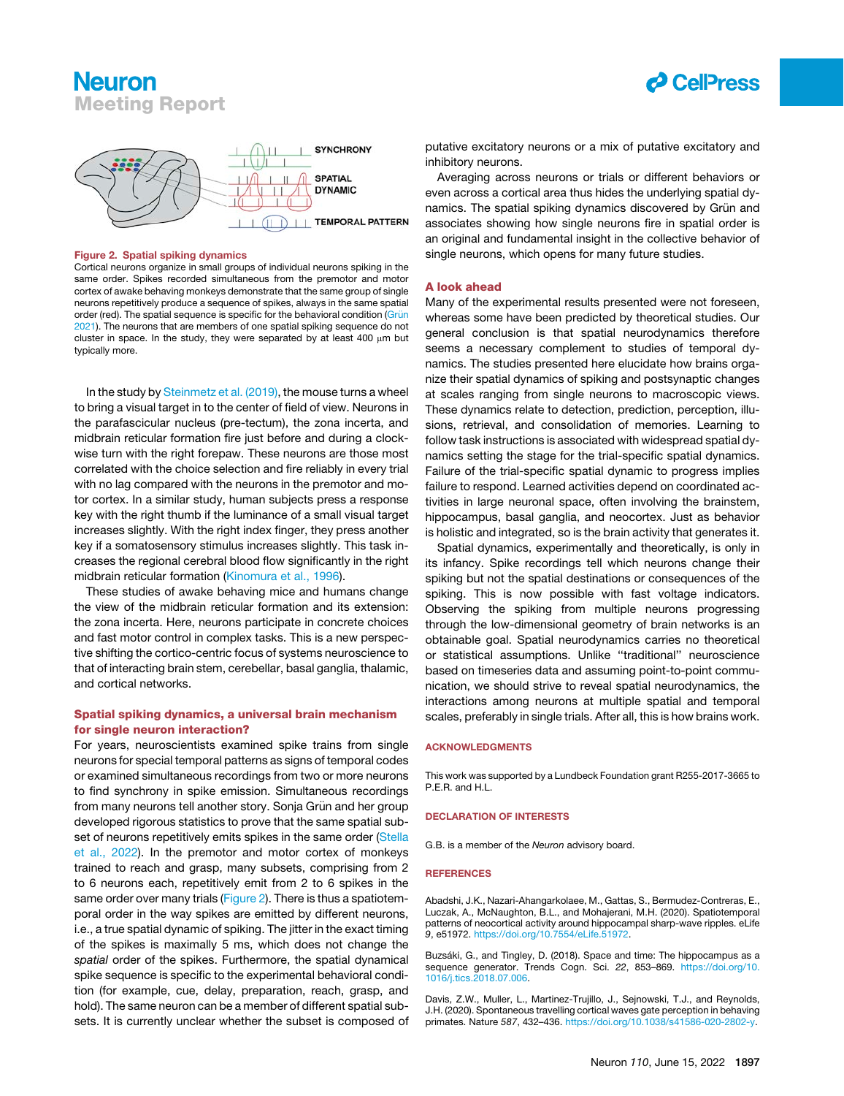# **Neuron** Meeting Report



<span id="page-3-3"></span>

#### Figure 2. Spatial spiking dynamics

Cortical neurons organize in small groups of individual neurons spiking in the same order. Spikes recorded simultaneous from the premotor and motor cortex of awake behaving monkeys demonstrate that the same group of single neurons repetitively produce a sequence of spikes, always in the same spatial order (red). The spatial sequence is specific for the behavioral condition (Grün [2021\)](#page-4-11). The neurons that are members of one spatial spiking sequence do not cluster in space. In the study, they were separated by at least 400  $\mu$ m but typically more.

In the study by [Steinmetz et al. \(2019\),](#page-4-1) the mouse turns a wheel to bring a visual target in to the center of field of view. Neurons in the parafascicular nucleus (pre-tectum), the zona incerta, and midbrain reticular formation fire just before and during a clockwise turn with the right forepaw. These neurons are those most correlated with the choice selection and fire reliably in every trial with no lag compared with the neurons in the premotor and motor cortex. In a similar study, human subjects press a response key with the right thumb if the luminance of a small visual target increases slightly. With the right index finger, they press another key if a somatosensory stimulus increases slightly. This task increases the regional cerebral blood flow significantly in the right midbrain reticular formation ([Kinomura et al., 1996\)](#page-4-9).

These studies of awake behaving mice and humans change the view of the midbrain reticular formation and its extension: the zona incerta. Here, neurons participate in concrete choices and fast motor control in complex tasks. This is a new perspective shifting the cortico-centric focus of systems neuroscience to that of interacting brain stem, cerebellar, basal ganglia, thalamic, and cortical networks.

## Spatial spiking dynamics, a universal brain mechanism for single neuron interaction?

For years, neuroscientists examined spike trains from single neurons for special temporal patterns as signs of temporal codes or examined simultaneous recordings from two or more neurons to find synchrony in spike emission. Simultaneous recordings from many neurons tell another story. Sonja Grün and her group developed rigorous statistics to prove that the same spatial sub-set of neurons repetitively emits spikes in the same order [\(Stella](#page-4-10) [et al., 2022\)](#page-4-10). In the premotor and motor cortex of monkeys trained to reach and grasp, many subsets, comprising from 2 to 6 neurons each, repetitively emit from 2 to 6 spikes in the same order over many trials ([Figure 2\)](#page-3-3). There is thus a spatiotemporal order in the way spikes are emitted by different neurons, i.e., a true spatial dynamic of spiking. The jitter in the exact timing of the spikes is maximally 5 ms, which does not change the *spatial* order of the spikes. Furthermore, the spatial dynamical spike sequence is specific to the experimental behavioral condition (for example, cue, delay, preparation, reach, grasp, and hold). The same neuron can be a member of different spatial subsets. It is currently unclear whether the subset is composed of putative excitatory neurons or a mix of putative excitatory and inhibitory neurons.

Averaging across neurons or trials or different behaviors or even across a cortical area thus hides the underlying spatial dynamics. The spatial spiking dynamics discovered by Grün and associates showing how single neurons fire in spatial order is an original and fundamental insight in the collective behavior of single neurons, which opens for many future studies.

#### A look ahead

Many of the experimental results presented were not foreseen, whereas some have been predicted by theoretical studies. Our general conclusion is that spatial neurodynamics therefore seems a necessary complement to studies of temporal dynamics. The studies presented here elucidate how brains organize their spatial dynamics of spiking and postsynaptic changes at scales ranging from single neurons to macroscopic views. These dynamics relate to detection, prediction, perception, illusions, retrieval, and consolidation of memories. Learning to follow task instructions is associated with widespread spatial dynamics setting the stage for the trial-specific spatial dynamics. Failure of the trial-specific spatial dynamic to progress implies failure to respond. Learned activities depend on coordinated activities in large neuronal space, often involving the brainstem, hippocampus, basal ganglia, and neocortex. Just as behavior is holistic and integrated, so is the brain activity that generates it.

Spatial dynamics, experimentally and theoretically, is only in its infancy. Spike recordings tell which neurons change their spiking but not the spatial destinations or consequences of the spiking. This is now possible with fast voltage indicators. Observing the spiking from multiple neurons progressing through the low-dimensional geometry of brain networks is an obtainable goal. Spatial neurodynamics carries no theoretical or statistical assumptions. Unlike ''traditional'' neuroscience based on timeseries data and assuming point-to-point communication, we should strive to reveal spatial neurodynamics, the interactions among neurons at multiple spatial and temporal scales, preferably in single trials. After all, this is how brains work.

#### ACKNOWLEDGMENTS

This work was supported by a Lundbeck Foundation grant R255-2017-3665 to P.F.R. and H.L.

#### DECLARATION OF INTERESTS

G.B. is a member of the *Neuron* advisory board.

#### **REFERENCES**

<span id="page-3-1"></span>Abadshi, J.K., Nazari-Ahangarkolaee, M., Gattas, S., Bermudez-Contreras, E., Luczak, A., McNaughton, B.L., and Mohajerani, M.H. (2020). Spatiotemporal patterns of neocortical activity around hippocampal sharp-wave ripples. eLife *9*, e51972. <https://doi.org/10.7554/eLife.51972>.

<span id="page-3-2"></span>Buzsáki, G., and Tingley, D. (2018). Space and time: The hippocampus as a sequence generator. Trends Cogn. Sci. *22*, 853–869. [https://doi.org/10.](https://doi.org/10.1016/j.tics.2018.07.006) [1016/j.tics.2018.07.006](https://doi.org/10.1016/j.tics.2018.07.006).

<span id="page-3-0"></span>Davis, Z.W., Muller, L., Martinez-Trujillo, J., Sejnowski, T.J., and Reynolds, J.H. (2020). Spontaneous travelling cortical waves gate perception in behaving primates. Nature *587*, 432–436. [https://doi.org/10.1038/s41586-020-2802-y.](https://doi.org/10.1038/s41586-020-2802-y)